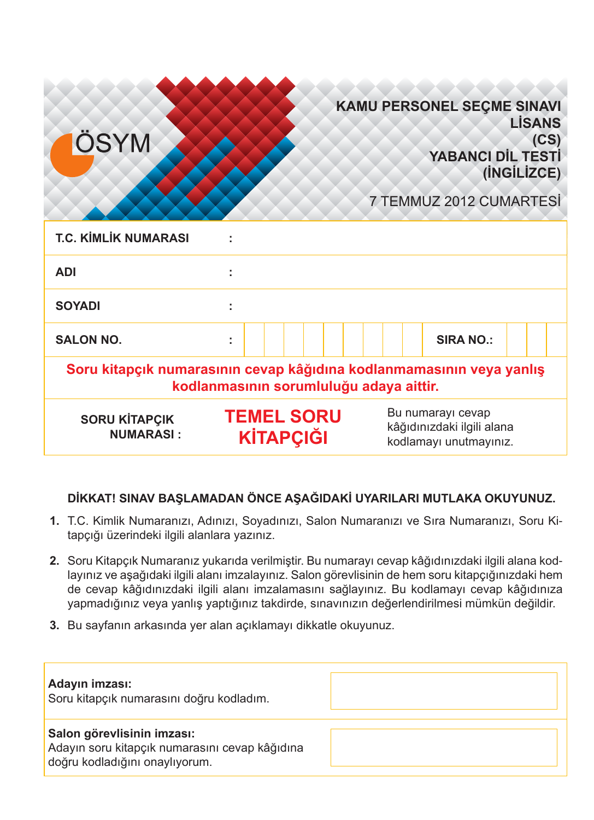| <b>KAMU PERSONEL SECME SINAVI</b> |  |
|-----------------------------------|--|
| <b>LISANS</b>                     |  |
| (CS)                              |  |
| YABANCI DİL TESTİ                 |  |
| (INGILIZCE)                       |  |

7 TEMMUZ 2012 CUMARTESİ

| <b>T.C. KİMLİK NUMARASI</b>                                                                                     | I                                                                                                                  |  |  |  |  |  |  |
|-----------------------------------------------------------------------------------------------------------------|--------------------------------------------------------------------------------------------------------------------|--|--|--|--|--|--|
| <b>ADI</b>                                                                                                      | ٠<br>$\blacksquare$                                                                                                |  |  |  |  |  |  |
| <b>SOYADI</b>                                                                                                   | ٠                                                                                                                  |  |  |  |  |  |  |
| <b>SALON NO.</b>                                                                                                | <b>SIRA NO.:</b><br>÷                                                                                              |  |  |  |  |  |  |
| Soru kitapçık numarasının cevap kâğıdına kodlanmamasının veya yanlış<br>kodlanmasının sorumluluğu adaya aittir. |                                                                                                                    |  |  |  |  |  |  |
| <b>SORU KİTAPÇIK</b><br><b>NUMARASI:</b>                                                                        | Bu numarayi cevap<br><b>TEMEL SORU</b><br>kâğıdınızdaki ilgili alana<br><b>KİTAPÇIĞI</b><br>kodlamayı unutmayınız. |  |  |  |  |  |  |

# **DİKKAT! SINAV BAŞLAMADAN ÖNCE AŞAĞIDAKİ UYARILARI MUTLAKA OKUYUNUZ.**

- **1.** T.C. Kimlik Numaranızı, Adınızı, Soyadınızı, Salon Numaranızı ve Sıra Numaranızı, Soru Kitapçığı üzerindeki ilgili alanlara yazınız.
- **2.** Soru Kitapçık Numaranız yukarıda verilmiştir. Bu numarayı cevap kâğıdınızdaki ilgili alana kodlayınız ve aşağıdaki ilgili alanı imzalayınız. Salon görevlisinin de hem soru kitapçığınızdaki hem de cevap kâğıdınızdaki ilgili alanı imzalamasını sağlayınız. Bu kodlamayı cevap kâğıdınıza yapmadığınız veya yanlış yaptığınız takdirde, sınavınızın değerlendirilmesi mümkün değildir.
- **3.** Bu sayfanın arkasında yer alan açıklamayı dikkatle okuyunuz.

ÖSYM

| Adayın imzası:<br>Soru kitapçık numarasını doğru kodladım.                                                     |  |
|----------------------------------------------------------------------------------------------------------------|--|
| Salon görevlisinin imzası:<br>Adayın soru kitapçık numarasını cevap kâğıdına<br>doğru kodladığını onaylıyorum. |  |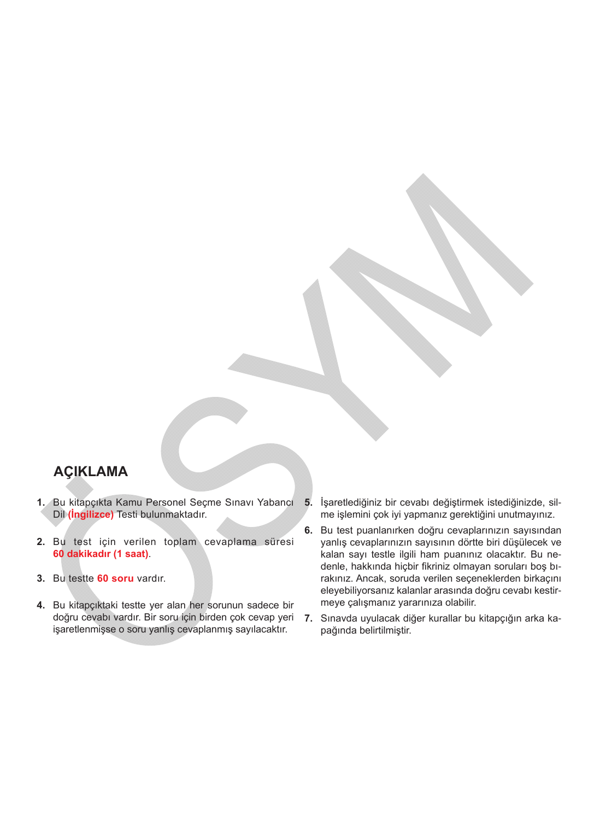# **AÇIKLAMA**

- **1.** Bu kitapçıkta Kamu Personel Seçme Sınavı Yabancı Dil **(İngilizce)** Testi bulunmaktadır.
- **2.** Bu test için verilen toplam cevaplama süresi **60 dakikadır (1 saat)**.
- **3.** Bu testte **60 soru** vardır.
- **4.** Bu kitapçıktaki testte yer alan her sorunun sadece bir doğru cevabı vardır. Bir soru için birden çok cevap yeri **7.** Sınavda uyulacak diğer kurallar bu kitapçığın arka kaişaretlenmişse o soru yanlış cevaplanmış sayılacaktır.
- **5.** İşaretlediğiniz bir cevabı değiştirmek istediğinizde, silme işlemini çok iyi yapmanız gerektiğini unutmayınız.
- **6.** Bu test puanlanırken doğru cevaplarınızın sayısından yanlış cevaplarınızın sayısının dörtte biri düşülecek ve kalan sayı testle ilgili ham puanınız olacaktır. Bu nedenle, hakkında hiçbir fikriniz olmayan soruları boş bırakınız. Ancak, soruda verilen seçeneklerden birkaçını eleyebiliyorsanız kalanlar arasında doğru cevabı kestirmeye çalışmanız yararınıza olabilir.
	- pağında belirtilmiştir.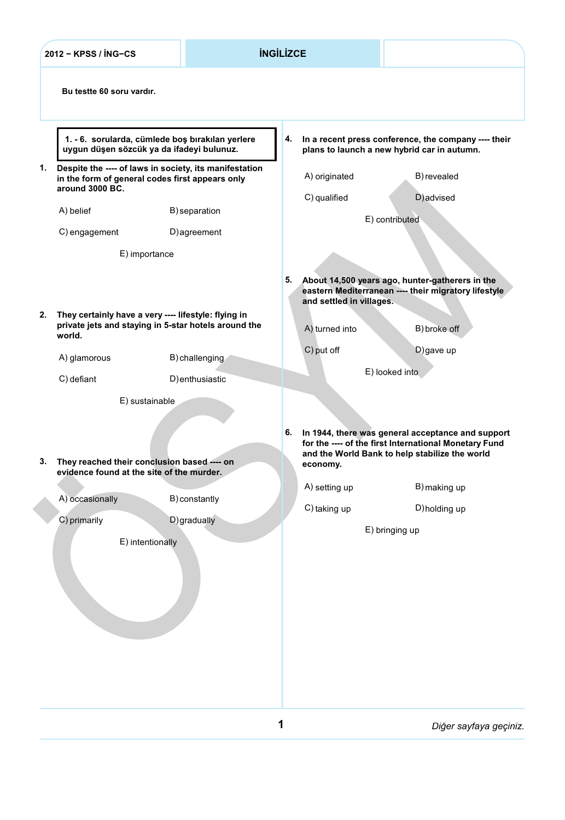| <b>INGILIZCE</b><br>2012 - KPSS / ING-CS                                                       |                                                                                                                              |                 |    |                                                                                                                                           |                                                                                                                                                                              |  |  |
|------------------------------------------------------------------------------------------------|------------------------------------------------------------------------------------------------------------------------------|-----------------|----|-------------------------------------------------------------------------------------------------------------------------------------------|------------------------------------------------------------------------------------------------------------------------------------------------------------------------------|--|--|
|                                                                                                | Bu testte 60 soru vardır.                                                                                                    |                 |    |                                                                                                                                           |                                                                                                                                                                              |  |  |
|                                                                                                | 1. - 6. sorularda, cümlede boş bırakılan yerlere<br>uygun düşen sözcük ya da ifadeyi bulunuz.                                |                 |    | In a recent press conference, the company ---- their<br>plans to launch a new hybrid car in autumn.                                       |                                                                                                                                                                              |  |  |
| 1.                                                                                             | Despite the ---- of laws in society, its manifestation<br>in the form of general codes first appears only<br>around 3000 BC. |                 |    | A) originated                                                                                                                             | B) revealed                                                                                                                                                                  |  |  |
|                                                                                                | A) belief                                                                                                                    | B) separation   |    | C) qualified                                                                                                                              | D) advised<br>E) contributed                                                                                                                                                 |  |  |
|                                                                                                | C) engagement                                                                                                                | D) agreement    |    |                                                                                                                                           |                                                                                                                                                                              |  |  |
|                                                                                                | E) importance                                                                                                                |                 |    |                                                                                                                                           |                                                                                                                                                                              |  |  |
|                                                                                                |                                                                                                                              |                 |    | 5.<br>About 14,500 years ago, hunter-gatherers in the<br>eastern Mediterranean ---- their migratory lifestyle<br>and settled in villages. |                                                                                                                                                                              |  |  |
| 2.                                                                                             | They certainly have a very ---- lifestyle: flying in<br>private jets and staying in 5-star hotels around the<br>world.       |                 |    | A) turned into                                                                                                                            | B) broke off                                                                                                                                                                 |  |  |
|                                                                                                | A) glamorous                                                                                                                 | B) challenging  |    | C) put off                                                                                                                                | $D)$ gave up                                                                                                                                                                 |  |  |
|                                                                                                | C) defiant                                                                                                                   | D) enthusiastic |    |                                                                                                                                           | E) looked into                                                                                                                                                               |  |  |
|                                                                                                | E) sustainable                                                                                                               |                 |    |                                                                                                                                           |                                                                                                                                                                              |  |  |
| ა.<br>They reached their conclusion based ---- on<br>evidence found at the site of the murder. |                                                                                                                              |                 | 6. | economy.<br>A) setting up                                                                                                                 | In 1944, there was general acceptance and support<br>for the ---- of the first International Monetary Fund<br>and the World Bank to help stabilize the world<br>B) making up |  |  |
|                                                                                                | A) occasionally                                                                                                              | B) constantly   |    | C) taking up                                                                                                                              | D) holding up                                                                                                                                                                |  |  |
|                                                                                                | C) primarily<br>E) intentionally                                                                                             | D) gradually    |    |                                                                                                                                           | E) bringing up                                                                                                                                                               |  |  |
|                                                                                                |                                                                                                                              |                 |    |                                                                                                                                           |                                                                                                                                                                              |  |  |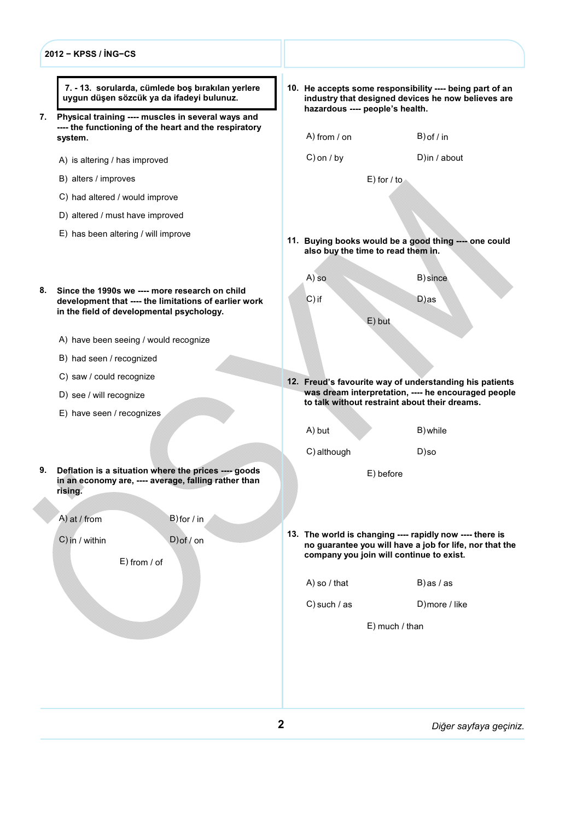7. - 13. sorularda, cümlede boş bırakılan yerlere uygun düşen sözcük ya da ifadeyi bulunuz.

- 7. Physical training ---- muscles in several ways and ---- the functioning of the heart and the respiratory system.
	- A) is altering / has improved
	- B) alters / improves
	- C) had altered / would improve
	- D) altered / must have improved
	- E) has been altering / will improve
- Since the 1990s we ---- more research on child 8. development that ---- the limitations of earlier work in the field of developmental psychology.
	- A) have been seeing / would recognize
	- B) had seen / recognized
	- C) saw / could recognize
	- D) see / will recognize
	- E) have seen / recognizes
- 9. Deflation is a situation where the prices ---- goods in an economy are, ---- average, falling rather than rising.
	- $\overline{A}$ ) at / from  $\overline{B}$  for / in

 $C$ ) in / within  $D$ ) of / on

E) from / of

10. He accepts some responsibility ---- being part of an industry that designed devices he now believes are hazardous ---- people's health.

D) in  $/$  about

 $(A)$  from / on  $(B)$  of / in

 $C$ ) on / by

E) for / to

11. Buving books would be a good thing ---- one could also buy the time to read them in.

| A) so   | B) since |
|---------|----------|
| $C)$ if | $D)$ as  |

E) but

12. Freud's favourite way of understanding his patients was dream interpretation, ---- he encouraged people to talk without restraint about their dreams.

A) but

B) while

C) although D) so

E) before

13. The world is changing ---- rapidly now ---- there is no guarantee you will have a job for life, nor that the company you join will continue to exist.

| A) so / that | $B)$ as / as |
|--------------|--------------|
|              |              |

 $C$ ) such / as D) more / like

E) much / than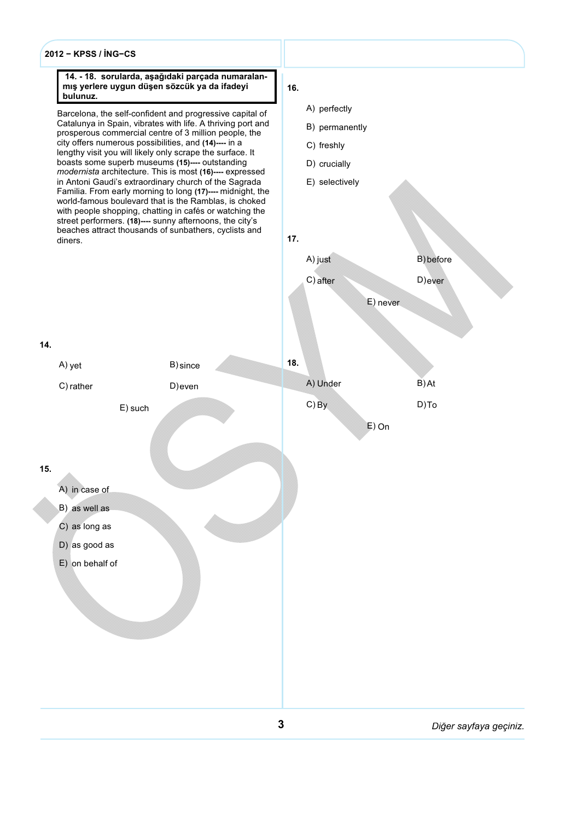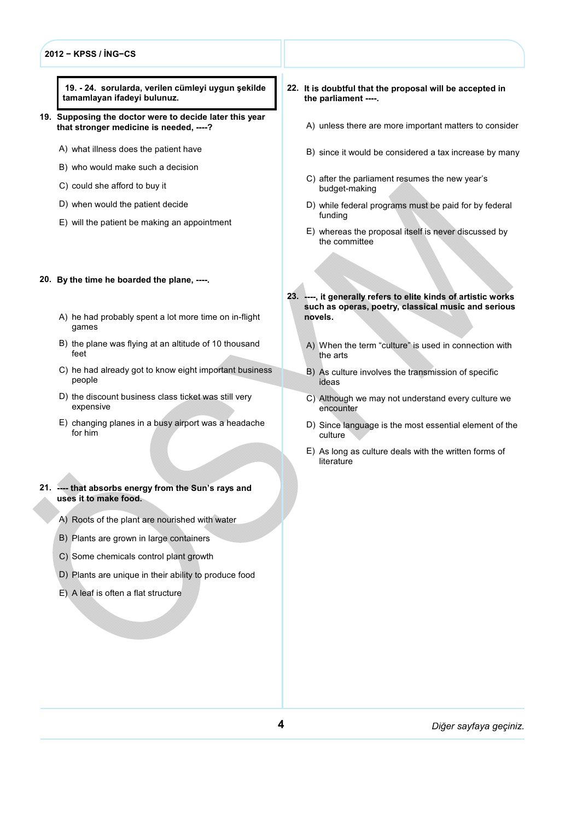19. - 24. sorularda, verilen cümleyi uygun şekilde tamamlayan ifadeyi bulunuz.

- 19. Supposing the doctor were to decide later this year that stronger medicine is needed, ----?
	- A) what illness does the patient have
	- B) who would make such a decision
	- C) could she afford to buy it
	- D) when would the patient decide
	- E) will the patient be making an appointment

#### 20. By the time he boarded the plane, ----.

- A) he had probably spent a lot more time on in-flight games
- B) the plane was flying at an altitude of 10 thousand feet
- C) he had already got to know eight important business people
- D) the discount business class ticket was still very expensive
- E) changing planes in a busy airport was a headache for him

#### ---- that absorbs energy from the Sun's rays and 21. uses it to make food.

- A) Roots of the plant are nourished with water
- B) Plants are grown in large containers
- C) Some chemicals control plant growth
- D) Plants are unique in their ability to produce food
- E) A leaf is often a flat structure
- 22. It is doubtful that the proposal will be accepted in the parliament ----.
	- A) unless there are more important matters to consider
	- B) since it would be considered a tax increase by many
	- C) after the parliament resumes the new year's budget-making
	- D) while federal programs must be paid for by federal funding
	- E) whereas the proposal itself is never discussed by the committee
- ----, it generally refers to elite kinds of artistic works 23. such as operas, poetry, classical music and serious novels.
	- A) When the term "culture" is used in connection with the arts
	- B) As culture involves the transmission of specific ideas
	- C) Although we may not understand every culture we encounter
	- D) Since language is the most essential element of the culture
	- E) As long as culture deals with the written forms of literature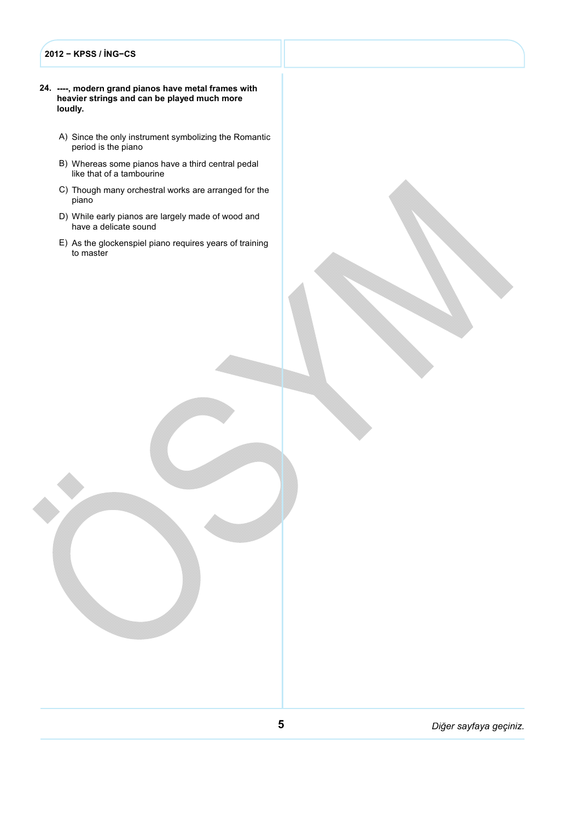- 24. ----, modern grand pianos have metal frames with heavier strings and can be played much more loudly.
	- A) Since the only instrument symbolizing the Romantic period is the piano
	- B) Whereas some pianos have a third central pedal like that of a tambourine
	- C) Though many orchestral works are arranged for the piano
	- D) While early pianos are largely made of wood and have a delicate sound
	- E) As the glockenspiel piano requires years of training to master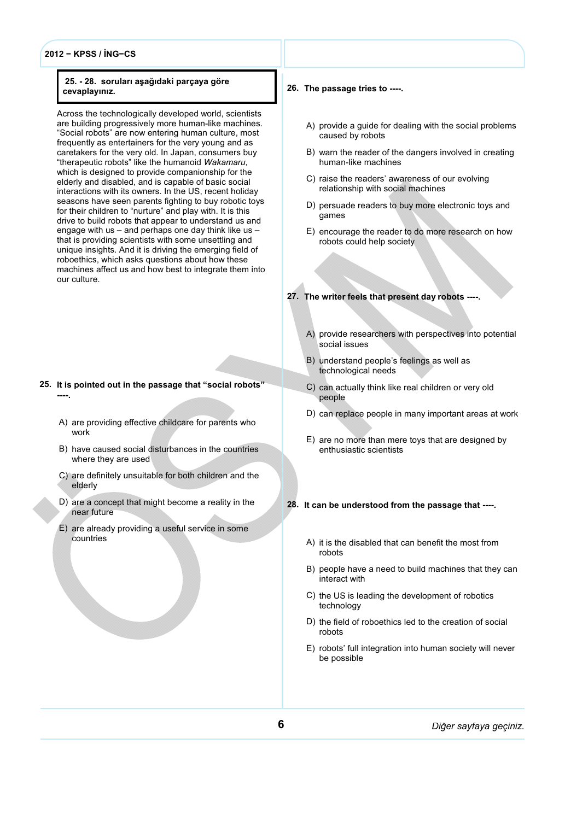#### 25. - 28. soruları aşağıdaki parçaya göre cevaplayınız.

Across the technologically developed world, scientists are building progressively more human-like machines. "Social robots" are now entering human culture, most frequently as entertainers for the very young and as caretakers for the very old. In Japan, consumers buy "therapeutic robots" like the humanoid Wakamaru, which is designed to provide companionship for the elderly and disabled, and is capable of basic social interactions with its owners. In the US, recent holiday seasons have seen parents fighting to buy robotic toys for their children to "nurture" and play with. It is this drive to build robots that appear to understand us and engage with us – and perhaps one day think like us – that is providing scientists with some unsettling and unique insights. And it is driving the emerging field of roboethics, which asks questions about how these machines affect us and how best to integrate them into our culture.

#### 25. It is pointed out in the passage that "social robots" ----.

- A) are providing effective childcare for parents who work
- B) have caused social disturbances in the countries where they are used
- C) are definitely unsuitable for both children and the elderly
- D) are a concept that might become a reality in the near future
- E) are already providing a useful service in some countries

#### 26. The passage tries to ----.

- A) provide a guide for dealing with the social problems caused by robots
- B) warn the reader of the dangers involved in creating human-like machines
- C) raise the readers' awareness of our evolving relationship with social machines
- D) persuade readers to buy more electronic toys and games
- E) encourage the reader to do more research on how robots could help society
- 27. The writer feels that present day robots ----.
	- A) provide researchers with perspectives into potential social issues
	- B) understand people's feelings as well as technological needs
	- C) can actually think like real children or very old people
	- D) can replace people in many important areas at work
	- E) are no more than mere toys that are designed by enthusiastic scientists

#### 28. It can be understood from the passage that ----.

- A) it is the disabled that can benefit the most from robots
- B) people have a need to build machines that they can interact with
- C) the US is leading the development of robotics technology
- D) the field of roboethics led to the creation of social robots
- E) robots' full integration into human society will never be possible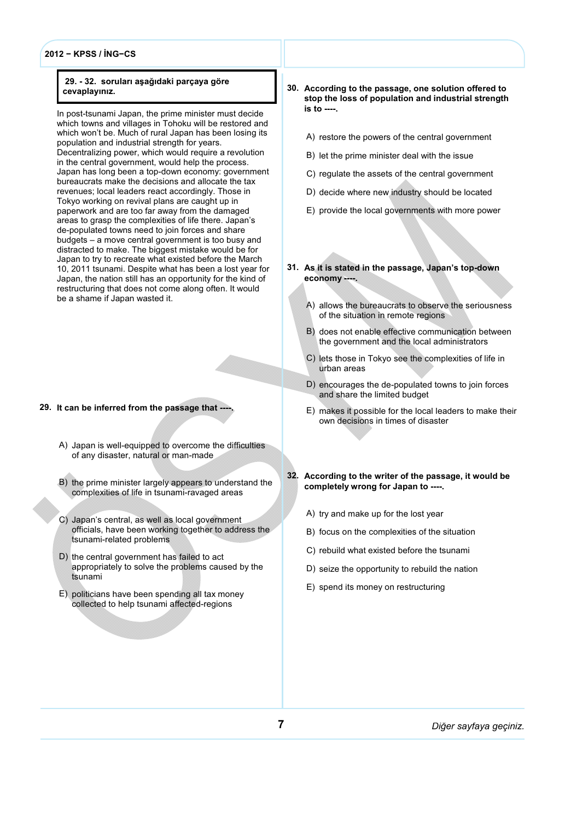#### 29. - 32. soruları aşağıdaki parçaya göre cevaplayınız.

In post-tsunami Japan, the prime minister must decide which towns and villages in Tohoku will be restored and which won't be. Much of rural Japan has been losing its population and industrial strength for years. Decentralizing power, which would require a revolution in the central government, would help the process. Japan has long been a top-down economy: government bureaucrats make the decisions and allocate the tax revenues; local leaders react accordingly. Those in Tokyo working on revival plans are caught up in paperwork and are too far away from the damaged areas to grasp the complexities of life there. Japan's de-populated towns need to join forces and share budgets – a move central government is too busy and distracted to make. The biggest mistake would be for Japan to try to recreate what existed before the March 10, 2011 tsunami. Despite what has been a lost year for Japan, the nation still has an opportunity for the kind of restructuring that does not come along often. It would be a shame if Japan wasted it.

#### 29. It can be inferred from the passage that ----.

- A) Japan is well-equipped to overcome the difficulties of any disaster, natural or man-made
- B) the prime minister largely appears to understand the complexities of life in tsunami-ravaged areas
- C) Japan's central, as well as local government officials, have been working together to address the tsunami-related problems
- D) the central government has failed to act appropriately to solve the problems caused by the tsunami
- E) politicians have been spending all tax money collected to help tsunami affected-regions
- According to the passage, one solution offered to 30. stop the loss of population and industrial strength is to ----.
	- A) restore the powers of the central government
	- B) let the prime minister deal with the issue
	- C) regulate the assets of the central government
	- D) decide where new industry should be located
	- E) provide the local governments with more power
- 31. As it is stated in the passage, Japan's top-down economy ----.
	- A) allows the bureaucrats to observe the seriousness of the situation in remote regions
	- B) does not enable effective communication between the government and the local administrators
	- C) lets those in Tokyo see the complexities of life in urban areas
	- D) encourages the de-populated towns to join forces and share the limited budget
	- E) makes it possible for the local leaders to make their own decisions in times of disaster
- According to the writer of the passage, it would be completely wrong for Japan to ----. 32.
	- A) try and make up for the lost year
	- B) focus on the complexities of the situation
	- C) rebuild what existed before the tsunami
	- D) seize the opportunity to rebuild the nation
	- E) spend its money on restructuring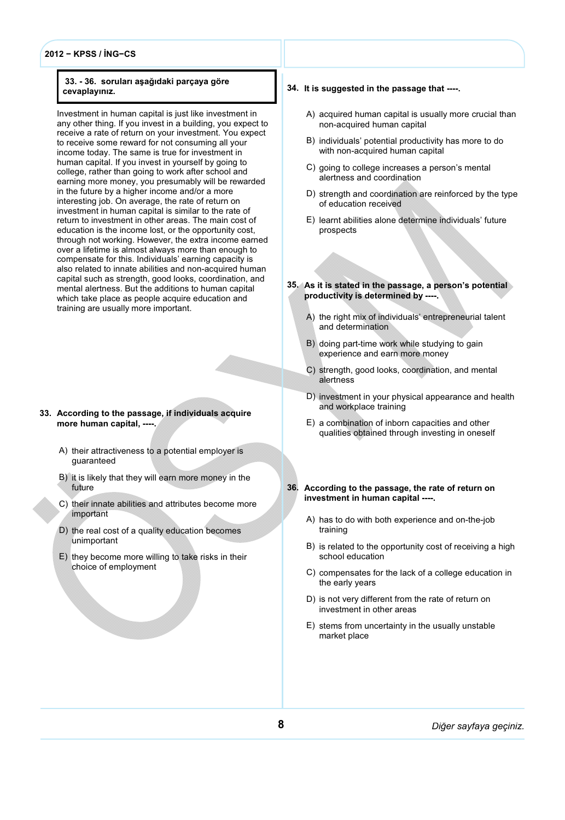#### 33. - 36. soruları aşağıdaki parçaya göre cevaplayınız.

Investment in human capital is just like investment in any other thing. If you invest in a building, you expect to receive a rate of return on your investment. You expect to receive some reward for not consuming all your income today. The same is true for investment in human capital. If you invest in yourself by going to college, rather than going to work after school and earning more money, you presumably will be rewarded in the future by a higher income and/or a more interesting job. On average, the rate of return on investment in human capital is similar to the rate of return to investment in other areas. The main cost of education is the income lost, or the opportunity cost, through not working. However, the extra income earned over a lifetime is almost always more than enough to compensate for this. Individuals' earning capacity is also related to innate abilities and non-acquired human capital such as strength, good looks, coordination, and mental alertness. But the additions to human capital which take place as people acquire education and training are usually more important.

#### 33. According to the passage, if individuals acquire more human capital, ----.

- A) their attractiveness to a potential employer is guaranteed
- B) it is likely that they will earn more money in the future
- C) their innate abilities and attributes become more important
- D) the real cost of a quality education becomes unimportant
- E) they become more willing to take risks in their choice of employment
- 34. It is suggested in the passage that ----.
	- A) acquired human capital is usually more crucial than non-acquired human capital
	- B) individuals' potential productivity has more to do with non-acquired human capital
	- C) going to college increases a person's mental alertness and coordination
	- D) strength and coordination are reinforced by the type of education received
	- E) learnt abilities alone determine individuals' future prospects
- As it is stated in the passage, a person's potential 35. productivity is determined by ----.
	- A) the right mix of individuals' entrepreneurial talent and determination
	- B) doing part-time work while studying to gain experience and earn more money
	- C) strength, good looks, coordination, and mental alertness
	- D) investment in your physical appearance and health and workplace training
	- E) a combination of inborn capacities and other qualities obtained through investing in oneself
- According to the passage, the rate of return on 36. investment in human capital ----.
	- A) has to do with both experience and on-the-job training
	- B) is related to the opportunity cost of receiving a high school education
	- C) compensates for the lack of a college education in the early years
	- D) is not very different from the rate of return on investment in other areas
	- E) stems from uncertainty in the usually unstable market place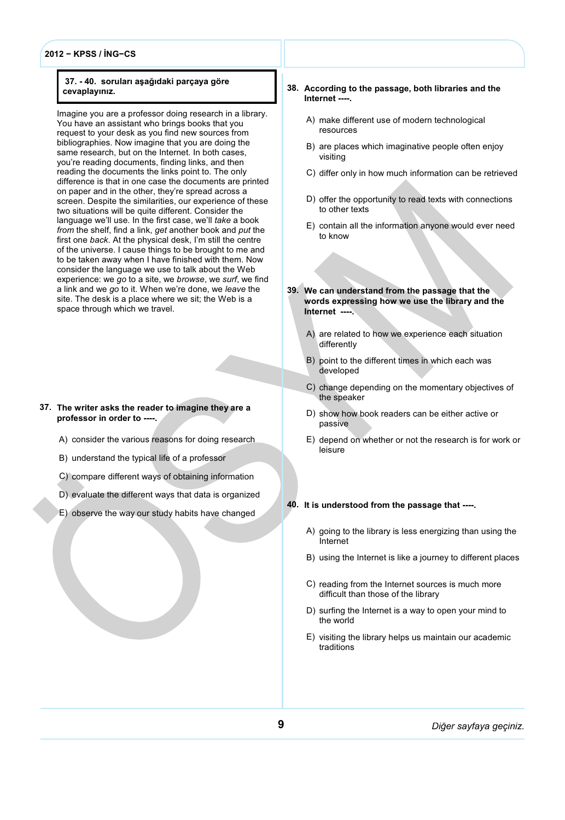#### 37. - 40. soruları aşağıdaki parçaya göre cevaplayınız.

Imagine you are a professor doing research in a library. You have an assistant who brings books that you request to your desk as you find new sources from bibliographies. Now imagine that you are doing the same research, but on the Internet. In both cases, you're reading documents, finding links, and then reading the documents the links point to. The only difference is that in one case the documents are printed on paper and in the other, they're spread across a screen. Despite the similarities, our experience of these two situations will be quite different. Consider the language we'll use. In the first case, we'll take a book from the shelf, find a link, get another book and put the first one back. At the physical desk, I'm still the centre of the universe. I cause things to be brought to me and to be taken away when I have finished with them. Now consider the language we use to talk about the Web experience: we go to a site, we browse, we surf, we find a link and we go to it. When we're done, we leave the site. The desk is a place where we sit; the Web is a space through which we travel.

#### 37. The writer asks the reader to imagine they are a professor in order to ----.

- A) consider the various reasons for doing research
- B) understand the typical life of a professor
- C) compare different ways of obtaining information
- D) evaluate the different ways that data is organized
- E) observe the way our study habits have changed
- According to the passage, both libraries and the 38. Internet ----.
	- A) make different use of modern technological resources
	- B) are places which imaginative people often enjoy visiting
	- C) differ only in how much information can be retrieved
	- D) offer the opportunity to read texts with connections to other texts
	- E) contain all the information anyone would ever need to know

We can understand from the passage that the 39. words expressing how we use the library and the Internet ----.

- A) are related to how we experience each situation differently
- B) point to the different times in which each was developed
- C) change depending on the momentary objectives of the speaker
- D) show how book readers can be either active or passive
- E) depend on whether or not the research is for work or leisure

#### 40. It is understood from the passage that ----.

- A) going to the library is less energizing than using the Internet
- B) using the Internet is like a journey to different places
- C) reading from the Internet sources is much more difficult than those of the library
- D) surfing the Internet is a way to open your mind to the world
- E) visiting the library helps us maintain our academic traditions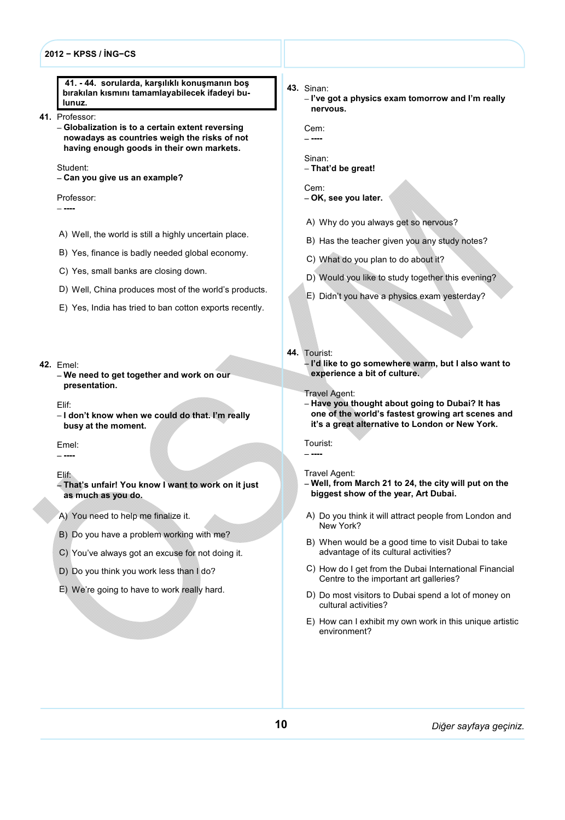41. - 44. sorularda, karşılıklı konuşmanın boş bırakılan kısmını tamamlayabilecek ifadeyi bulunuz.

41. Professor:

 Globalization is to a certain extent reversing nowadays as countries weigh the risks of not having enough goods in their own markets.

#### Student:

Can you give us an example?

Professor:

----

A) Well, the world is still a highly uncertain place.

B) Yes, finance is badly needed global economy.

- C) Yes, small banks are closing down.
- D) Well, China produces most of the world's products.
- E) Yes, India has tried to ban cotton exports recently.

#### 42. Emel:

 We need to get together and work on our presentation.

#### Elif:

- I don't know when we could do that. I'm really busy at the moment.

Emel:  $-$  ----

#### Elif:

- That's unfair! You know I want to work on it just as much as you do.
- A) You need to help me finalize it.
- B) Do you have a problem working with me?
- C) You've always got an excuse for not doing it.
- D) Do you think you work less than I do?
- E) We're going to have to work really hard.
- 43. Sinan:
	- I've got a physics exam tomorrow and I'm really nervous.

Cem:  $-$ ----

Sinan: - That'd be great!

Cem: - OK, see you later.

- A) Why do you always get so nervous?
- B) Has the teacher given you any study notes?
- C) What do you plan to do about it?
- D) Would you like to study together this evening?
- E) Didn't you have a physics exam yesterday?
- 44. Tourist:

- I'd like to go somewhere warm, but I also want to experience a bit of culture.

Travel Agent:

- Have you thought about going to Dubai? It has one of the world's fastest growing art scenes and it's a great alternative to London or New York.

Tourist: ----

Travel Agent:

- Well, from March 21 to 24, the city will put on the biggest show of the year, Art Dubai.
- A) Do you think it will attract people from London and New York?
- B) When would be a good time to visit Dubai to take advantage of its cultural activities?
- C) How do I get from the Dubai International Financial Centre to the important art galleries?
- D) Do most visitors to Dubai spend a lot of money on cultural activities?
- E) How can I exhibit my own work in this unique artistic environment?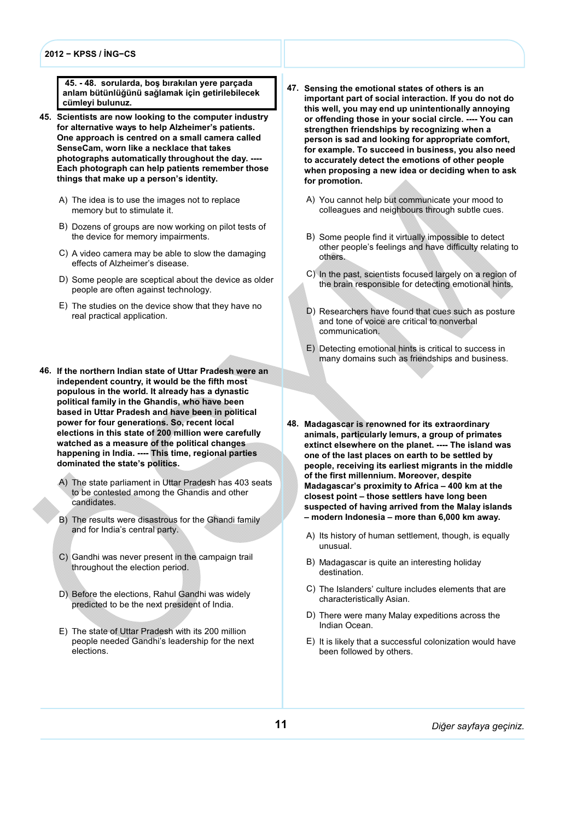45. - 48. sorularda, boş bırakılan yere parçada anlam bütünlüğünü sağlamak için getirilebilecek cümleyi bulunuz.

- 45. Scientists are now looking to the computer industry for alternative ways to help Alzheimer's patients. One approach is centred on a small camera called SenseCam, worn like a necklace that takes photographs automatically throughout the day. ---- Each photograph can help patients remember those things that make up a person's identity.
	- A) The idea is to use the images not to replace memory but to stimulate it.
	- B) Dozens of groups are now working on pilot tests of the device for memory impairments.
	- C) A video camera may be able to slow the damaging effects of Alzheimer's disease.
	- D) Some people are sceptical about the device as older people are often against technology.
	- E) The studies on the device show that they have no real practical application.
- 46. If the northern Indian state of Uttar Pradesh were an independent country, it would be the fifth most populous in the world. It already has a dynastic political family in the Ghandis, who have been based in Uttar Pradesh and have been in political power for four generations. So, recent local elections in this state of 200 million were carefully watched as a measure of the political changes happening in India. ---- This time, regional parties dominated the state's politics.
	- A) The state parliament in Uttar Pradesh has 403 seats to be contested among the Ghandis and other candidates.
	- B) The results were disastrous for the Ghandi family and for India's central party.
	- C) Gandhi was never present in the campaign trail throughout the election period.
	- D) Before the elections, Rahul Gandhi was widely predicted to be the next president of India.
	- E) The state of Uttar Pradesh with its 200 million people needed Gandhi's leadership for the next elections.
- 47. Sensing the emotional states of others is an important part of social interaction. If you do not do this well, you may end up unintentionally annoying or offending those in your social circle. ---- You can strengthen friendships by recognizing when a person is sad and looking for appropriate comfort, for example. To succeed in business, you also need to accurately detect the emotions of other people when proposing a new idea or deciding when to ask for promotion.
	- A) You cannot help but communicate your mood to colleagues and neighbours through subtle cues.
	- B) Some people find it virtually impossible to detect other people's feelings and have difficulty relating to others.
	- C) In the past, scientists focused largely on a region of the brain responsible for detecting emotional hints.
	- D) Researchers have found that cues such as posture and tone of voice are critical to nonverbal communication.
	- E) Detecting emotional hints is critical to success in many domains such as friendships and business.
- 48. Madagascar is renowned for its extraordinary animals, particularly lemurs, a group of primates extinct elsewhere on the planet. ---- The island was one of the last places on earth to be settled by people, receiving its earliest migrants in the middle of the first millennium. Moreover, despite Madagascar's proximity to Africa – 400 km at the closest point – those settlers have long been suspected of having arrived from the Malay islands – modern Indonesia – more than 6,000 km away.
	- A) Its history of human settlement, though, is equally unusual.
	- B) Madagascar is quite an interesting holiday destination.
	- C) The Islanders' culture includes elements that are characteristically Asian.
	- D) There were many Malay expeditions across the Indian Ocean.
	- E) It is likely that a successful colonization would have been followed by others.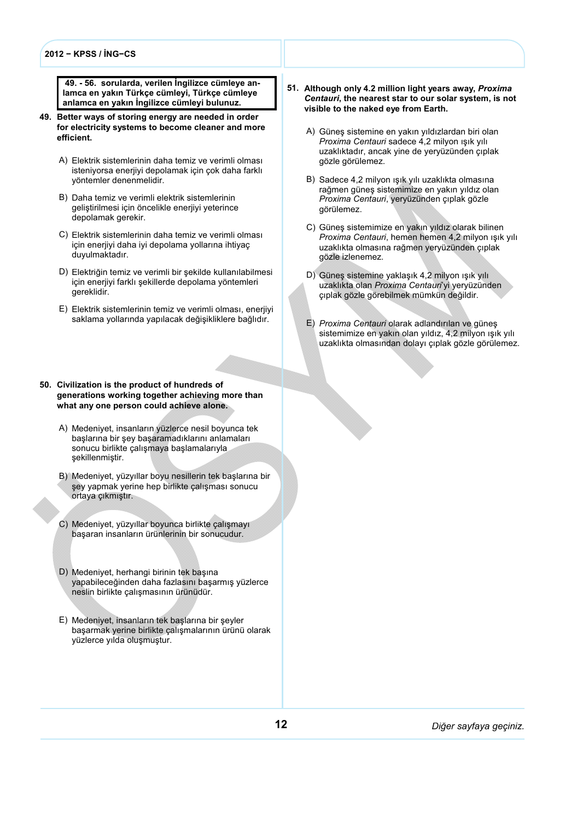49. - 56. sorularda, verilen İngilizce cümleye anlamca en yakın Türkçe cümleyi, Türkçe cümleye anlamca en yakın İngilizce cümleyi bulunuz.

- 49. Better ways of storing energy are needed in order for electricity systems to become cleaner and more efficient.
	- A) Elektrik sistemlerinin daha temiz ve verimli olması isteniyorsa enerjiyi depolamak için çok daha farklı yöntemler denenmelidir.
	- B) Daha temiz ve verimli elektrik sistemlerinin geliştirilmesi için öncelikle enerjiyi yeterince depolamak gerekir.
	- C) Elektrik sistemlerinin daha temiz ve verimli olması için enerjiyi daha iyi depolama yollarına ihtiyaç duyulmaktadır.
	- D) Elektriğin temiz ve verimli bir şekilde kullanılabilmesi için enerjiyi farklı şekillerde depolama yöntemleri gereklidir.
	- E) Elektrik sistemlerinin temiz ve verimli olması, enerjiyi saklama yollarında yapılacak değişikliklere bağlıdır.
- 50. Civilization is the product of hundreds of generations working together achieving more than what any one person could achieve alone.
	- A) Medeniyet, insanların yüzlerce nesil boyunca tek başlarına bir şey başaramadıklarını anlamaları sonucu birlikte çalışmaya başlamalarıyla şekillenmiştir.
	- B) Medeniyet, yüzyıllar boyu nesillerin tek başlarına bir şey yapmak yerine hep birlikte çalışması sonucu ortaya çıkmıştır.
	- C) Medeniyet, yüzyıllar boyunca birlikte çalışmayı başaran insanların ürünlerinin bir sonucudur.
	- D) Medeniyet, herhangi birinin tek başına yapabileceğinden daha fazlasını başarmış yüzlerce neslin birlikte çalışmasının ürünüdür.
	- E) Medeniyet, insanların tek başlarına bir şeyler başarmak yerine birlikte çalışmalarının ürünü olarak yüzlerce yılda oluşmuştur.
- 51. Although only 4.2 million light years away, Proxima Centauri, the nearest star to our solar system, is not visible to the naked eye from Earth.
	- A) Güneş sistemine en yakın yıldızlardan biri olan Proxima Centauri sadece 4,2 milyon ışık yılı uzaklıktadır, ancak yine de yeryüzünden çıplak gözle görülemez.
	- B) Sadece 4,2 milyon ışık yılı uzaklıkta olmasına rağmen güneş sistemimize en yakın yıldız olan Proxima Centauri, yeryüzünden çıplak gözle görülemez.
	- C) Güneş sistemimize en yakın yıldız olarak bilinen Proxima Centauri, hemen hemen 4,2 milyon ışık yılı uzaklıkta olmasına rağmen yeryüzünden çıplak gözle izlenemez.
	- D) Güneş sistemine yaklaşık 4,2 milyon ışık yılı uzaklıkta olan Proxima Centauri'yi yeryüzünden çıplak gözle görebilmek mümkün değildir.
	- E) Proxima Centauri olarak adlandırılan ve güneş sistemimize en yakın olan yıldız, 4,2 milyon ışık yılı uzaklıkta olmasından dolayı çıplak gözle görülemez.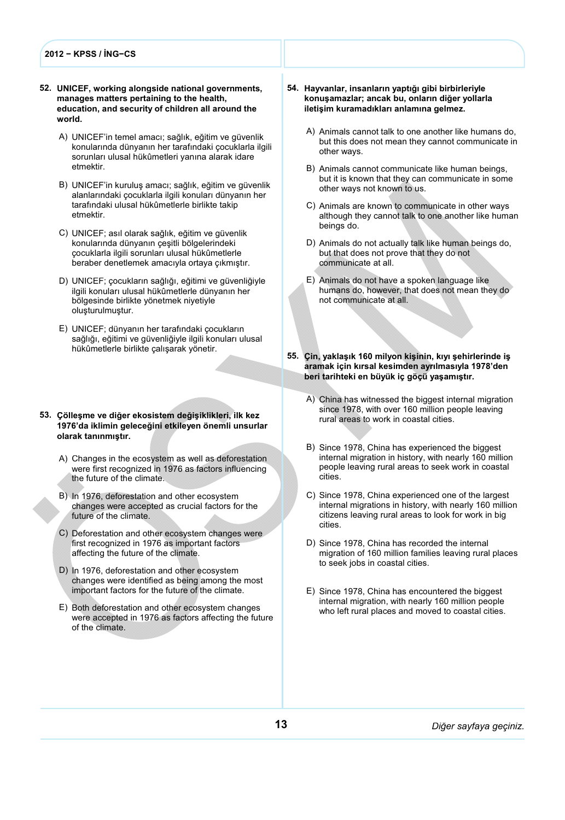- UNICEF, working alongside national governments, 52. manages matters pertaining to the health, education, and security of children all around the world.
	- A) UNICEF'in temel amacı; sağlık, eğitim ve güvenlik konularında dünyanın her tarafındaki çocuklarla ilgili sorunları ulusal hükûmetleri yanına alarak idare etmektir.
	- B) UNICEF'in kuruluş amacı; sağlık, eğitim ve güvenlik alanlarındaki çocuklarla ilgili konuları dünyanın her tarafındaki ulusal hükûmetlerle birlikte takip etmektir.
	- C) UNICEF; asıl olarak sağlık, eğitim ve güvenlik konularında dünyanın çeşitli bölgelerindeki çocuklarla ilgili sorunları ulusal hükûmetlerle beraber denetlemek amacıyla ortaya çıkmıştır.
	- D) UNICEF; çocukların sağlığı, eğitimi ve güvenliğiyle ilgili konuları ulusal hükûmetlerle dünyanın her bölgesinde birlikte yönetmek niyetiyle oluşturulmuştur.
	- E) UNICEF; dünyanın her tarafındaki çocukların sağlığı, eğitimi ve güvenliğiyle ilgili konuları ulusal hükûmetlerle birlikte çalışarak yönetir.

#### 53. Cöllesme ve diğer ekosistem değişiklikleri, ilk kez 1976'da iklimin geleceğini etkileyen önemli unsurlar olarak tanınmıştır.

- A) Changes in the ecosystem as well as deforestation were first recognized in 1976 as factors influencing the future of the climate.
- B) In 1976, deforestation and other ecosystem changes were accepted as crucial factors for the future of the climate.
- C) Deforestation and other ecosystem changes were first recognized in 1976 as important factors affecting the future of the climate.
- D) In 1976, deforestation and other ecosystem changes were identified as being among the most important factors for the future of the climate.
- E) Both deforestation and other ecosystem changes were accepted in 1976 as factors affecting the future of the climate.
- 54. Hayvanlar, insanların yaptığı gibi birbirleriyle konuşamazlar; ancak bu, onların diğer yollarla iletişim kuramadıkları anlamına gelmez.
	- A) Animals cannot talk to one another like humans do, but this does not mean they cannot communicate in other ways.
	- B) Animals cannot communicate like human beings, but it is known that they can communicate in some other ways not known to us.
	- C) Animals are known to communicate in other ways although they cannot talk to one another like human beings do.
	- D) Animals do not actually talk like human beings do, but that does not prove that they do not communicate at all.
	- E) Animals do not have a spoken language like humans do, however, that does not mean they do not communicate at all.
- 55. Çin, yaklaşık 160 milyon kişinin, kıyı şehirlerinde iş aramak için kırsal kesimden ayrılmasıyla 1978'den beri tarihteki en büyük iç göçü yaşamıştır.
	- A) China has witnessed the biggest internal migration since 1978, with over 160 million people leaving rural areas to work in coastal cities.
	- B) Since 1978, China has experienced the biggest internal migration in history, with nearly 160 million people leaving rural areas to seek work in coastal cities.
	- C) Since 1978, China experienced one of the largest internal migrations in history, with nearly 160 million citizens leaving rural areas to look for work in big cities.
	- D) Since 1978, China has recorded the internal migration of 160 million families leaving rural places to seek jobs in coastal cities.
	- E) Since 1978, China has encountered the biggest internal migration, with nearly 160 million people who left rural places and moved to coastal cities.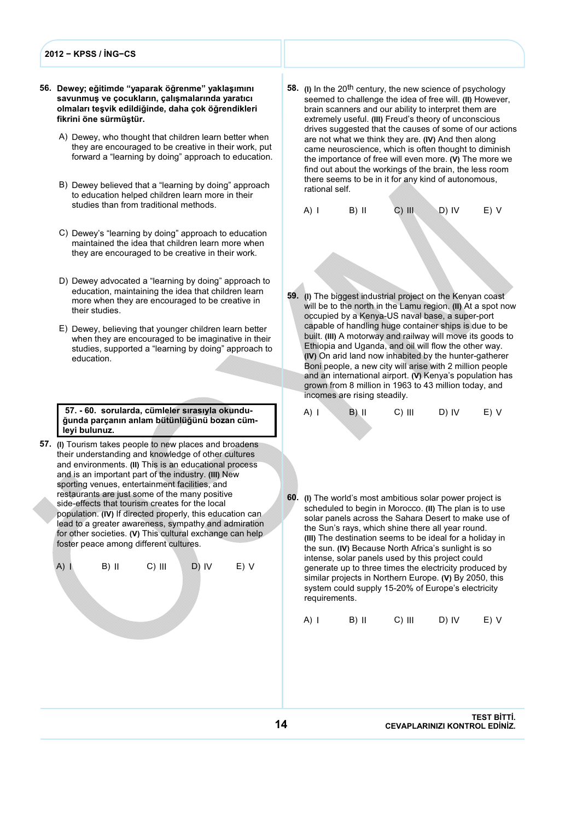#### 56. Dewey; eğitimde "yaparak öğrenme" yaklaşımını savunmuş ve çocukların, çalışmalarında yaratıcı olmaları teşvik edildiğinde, daha çok öğrendikleri fikrini öne sürmüştür.

- A) Dewey, who thought that children learn better when they are encouraged to be creative in their work, put forward a "learning by doing" approach to education.
- B) Dewey believed that a "learning by doing" approach to education helped children learn more in their studies than from traditional methods.
- C) Dewey's "learning by doing" approach to education maintained the idea that children learn more when they are encouraged to be creative in their work.
- D) Dewey advocated a "learning by doing" approach to education, maintaining the idea that children learn more when they are encouraged to be creative in their studies.
- E) Dewey, believing that younger children learn better when they are encouraged to be imaginative in their studies, supported a "learning by doing" approach to education.

 57. - 60. sorularda, cümleler sırasıyla okunduğunda parçanın anlam bütünlüğünü bozan cümleyi bulunuz.

57. (I) Tourism takes people to new places and broadens their understanding and knowledge of other cultures and environments. (II) This is an educational process and is an important part of the industry. (III) New sporting venues, entertainment facilities, and restaurants are just some of the many positive side-effects that tourism creates for the local population. (IV) If directed properly, this education can lead to a greater awareness, sympathy and admiration for other societies. (V) This cultural exchange can help foster peace among different cultures.



58. (I) In the 20<sup>th</sup> century, the new science of psychology seemed to challenge the idea of free will. (II) However, brain scanners and our ability to interpret them are extremely useful. (III) Freud's theory of unconscious drives suggested that the causes of some of our actions are not what we think they are. (IV) And then along came neuroscience, which is often thought to diminish the importance of free will even more. (V) The more we find out about the workings of the brain, the less room there seems to be in it for any kind of autonomous, rational self.



59. (I) The biggest industrial project on the Kenyan coast will be to the north in the Lamu region. (II) At a spot now occupied by a Kenya-US naval base, a super-port capable of handling huge container ships is due to be built. (III) A motorway and railway will move its goods to Ethiopia and Uganda, and oil will flow the other way. (IV) On arid land now inhabited by the hunter-gatherer Boni people, a new city will arise with 2 million people and an international airport. (V) Kenya's population has grown from 8 million in 1963 to 43 million today, and incomes are rising steadily.

$$
A) I \t B) II \t C) III \t D) IV \t E) V
$$

60. (I) The world's most ambitious solar power project is scheduled to begin in Morocco. (II) The plan is to use solar panels across the Sahara Desert to make use of the Sun's rays, which shine there all year round. (III) The destination seems to be ideal for a holiday in the sun. (IV) Because North Africa's sunlight is so intense, solar panels used by this project could generate up to three times the electricity produced by similar projects in Northern Europe. (V) By 2050, this system could supply 15-20% of Europe's electricity requirements.

$$
A) I \qquad B) II \qquad C) III \qquad D) IV \qquad E) V
$$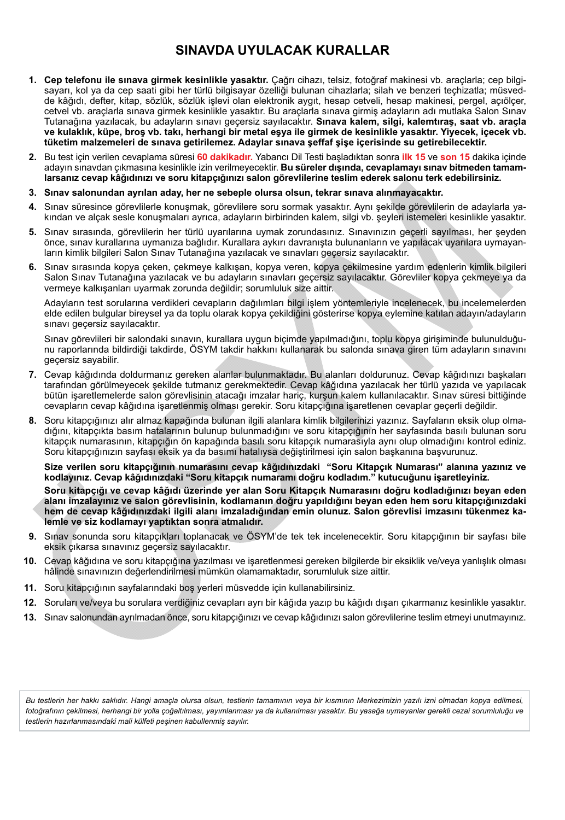# SINAVDA UYULACAK KURALLAR

- 1. Cep telefonu ile sınava girmek kesinlikle yasaktır. Çağrı cihazı, telsiz, fotoğraf makinesi vb. araçlarla; cep bilgisayarı, kol ya da cep saati gibi her türlü bilgisayar özelliği bulunan cihazlarla; silah ve benzeri teçhizatla; müsvedde kâğıdı, defter, kitap, sözlük, sözlük işlevi olan elektronik aygıt, hesap cetveli, hesap makinesi, pergel, açıölçer, cetvel vb. araçlarla sınava girmek kesinlikle yasaktır. Bu araçlarla sınava girmiş adayların adı mutlaka Salon Sınav Tutanağına yazılacak, bu adayların sınavı geçersiz sayılacaktır. Sınava kalem, silgi, kalemtıraş, saat vb. araçla ve kulaklık, küpe, broş vb. takı, herhangi bir metal eşya ile girmek de kesinlikle yasaktır. Yiyecek, içecek vb. tüketim malzemeleri de sınava getirilemez. Adaylar sınava şeffaf şişe içerisinde su getirebilecektir.
- 2. Bu test için verilen cevaplama süresi 60 dakikadır. Yabancı Dil Testi başladıktan sonra ilk 15 ve son 15 dakika içinde adayın sınavdan çıkmasına kesinlikle izin verilmeyecektir. Bu süreler dışında, cevaplamayı sınav bitmeden tamamlarsanız cevap kâğıdınızı ve soru kitapçığınızı salon görevlilerine teslim ederek salonu terk edebilirsiniz.
- 3. Sınav salonundan ayrılan aday, her ne sebeple olursa olsun, tekrar sınava alınmayacaktır.
- 4. Sınav süresince görevlilerle konuşmak, görevlilere soru sormak yasaktır. Aynı şekilde görevlilerin de adaylarla yakından ve alçak sesle konuşmaları ayrıca, adayların birbirinden kalem, silgi vb. şeyleri istemeleri kesinlikle yasaktır.
- 5. Sınav sırasında, görevlilerin her türlü uyarılarına uymak zorundasınız. Sınavınızın geçerli sayılması, her şeyden önce, sınav kurallarına uymanıza bağlıdır. Kurallara aykırı davranışta bulunanların ve yapılacak uyarılara uymayanların kimlik bilgileri Salon Sınav Tutanağına yazılacak ve sınavları geçersiz sayılacaktır.
- 6. Sınav sırasında kopya çeken, çekmeye kalkışan, kopya veren, kopya çekilmesine yardım edenlerin kimlik bilgileri Salon Sınav Tutanağına yazılacak ve bu adayların sınavları geçersiz sayılacaktır. Görevliler kopya çekmeye ya da vermeye kalkışanları uyarmak zorunda değildir; sorumluluk size aittir.

Adayların test sorularına verdikleri cevapların dağılımları bilgi işlem yöntemleriyle incelenecek, bu incelemelerden elde edilen bulgular bireysel ya da toplu olarak kopya çekildiğini gösterirse kopya eylemine katılan adayın/adayların sınavı geçersiz sayılacaktır.

Sınav görevlileri bir salondaki sınavın, kurallara uygun biçimde yapılmadığını, toplu kopya girişiminde bulunulduğunu raporlarında bildirdiği takdirde, ÖSYM takdir hakkını kullanarak bu salonda sınava giren tüm adayların sınavını geçersiz sayabilir.

- 7. Cevap kâğıdında doldurmanız gereken alanlar bulunmaktadır. Bu alanları doldurunuz. Cevap kâğıdınızı başkaları tarafından görülmeyecek şekilde tutmanız gerekmektedir. Cevap kâğıdına yazılacak her türlü yazıda ve yapılacak bütün işaretlemelerde salon görevlisinin atacağı imzalar hariç, kurşun kalem kullanılacaktır. Sınav süresi bittiğinde cevapların cevap kâğıdına işaretlenmiş olması gerekir. Soru kitapçığına işaretlenen cevaplar geçerli değildir.
- 8. Soru kitapçığınızı alır almaz kapağında bulunan ilgili alanlara kimlik bilgilerinizi yazınız. Sayfaların eksik olup olmadığını, kitapçıkta basım hatalarının bulunup bulunmadığını ve soru kitapçığının her sayfasında basılı bulunan soru kitapçık numarasının, kitapçığın ön kapağında basılı soru kitapçık numarasıyla aynı olup olmadığını kontrol ediniz. Soru kitapçığınızın sayfası eksik ya da basımı hatalıysa değiştirilmesi için salon başkanına başvurunuz.

Size verilen soru kitapçığının numarasını cevap kâğıdınızdaki "Soru Kitapçık Numarası" alanına yazınız ve kodlayınız. Cevap kâğıdınızdaki "Soru kitapçık numaramı doğru kodladım." kutucuğunu işaretleyiniz.

Soru kitapçığı ve cevap kâğıdı üzerinde yer alan Soru Kitapçık Numarasını doğru kodladığınızı beyan eden alanı imzalayınız ve salon görevlisinin, kodlamanın doğru yapıldığını beyan eden hem soru kitapçığınızdaki hem de cevap kâğıdınızdaki ilgili alanı imzaladığından emin olunuz. Salon görevlisi imzasını tükenmez kalemle ve siz kodlamayı yaptıktan sonra atmalıdır.

- 9. Sınav sonunda soru kitapçıkları toplanacak ve ÖSYM'de tek tek incelenecektir. Soru kitapçığının bir sayfası bile eksik çıkarsa sınavınız geçersiz sayılacaktır.
- 10. Cevap kâğıdına ve soru kitapçığına yazılması ve işaretlenmesi gereken bilgilerde bir eksiklik ve/veya yanlışlık olması hâlinde sınavınızın değerlendirilmesi mümkün olamamaktadır, sorumluluk size aittir.
- 11. Soru kitapçığının sayfalarındaki boş yerleri müsvedde için kullanabilirsiniz.
- 12. Soruları ve/veya bu sorulara verdiğiniz cevapları ayrı bir kâğıda yazıp bu kâğıdı dışarı çıkarmanız kesinlikle yasaktır.
- 13. Sınav salonundan ayrılmadan önce, soru kitapçığınızı ve cevap kâğıdınızı salon görevlilerine teslim etmeyi unutmayınız.

Bu testlerin her hakkı saklıdır. Hangi amaçla olursa olsun, testlerin tamamının veya bir kısmının Merkezimizin yazılı izni olmadan kopya edilmesi, fotoğrafının çekilmesi, herhangi bir yolla çoğaltılması, yayımlanması ya da kullanılması yasaktır. Bu yasağa uymayanlar gerekli cezai sorumluluğu ve testlerin hazırlanmasındaki mali külfeti peşinen kabullenmiş sayılır.